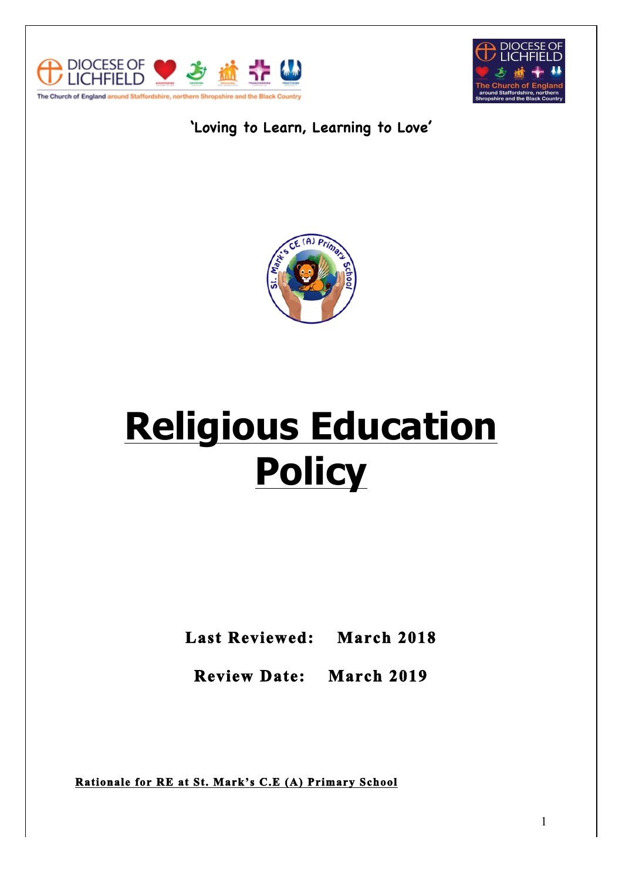



**'Loving to Learn, Learning to Love'**



# **Religious Education Policy**

**Last Reviewed: March 2018** 

**Review Date: March 2019** 

**Rationale for RE at St. Mark's C.E (A) Primary School**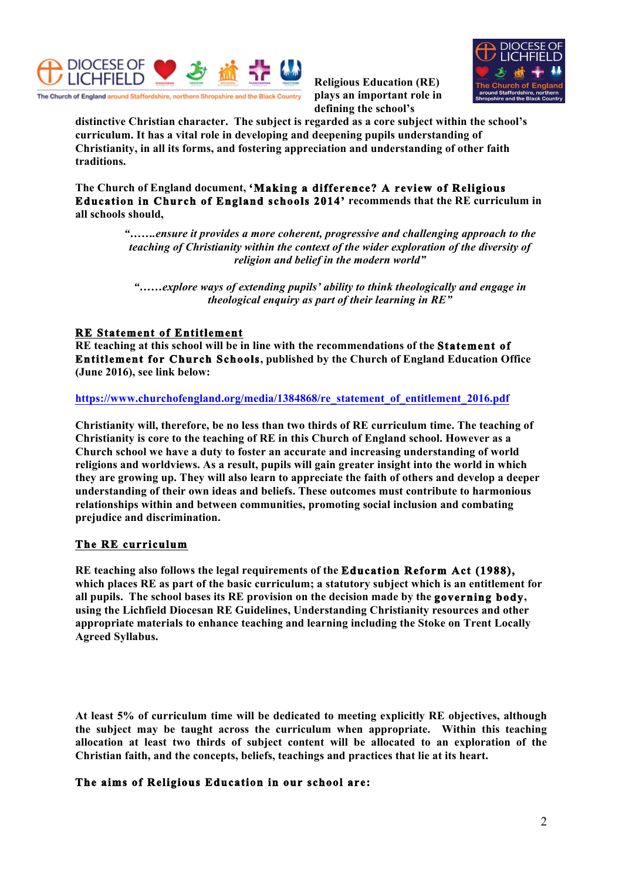

**Religious Education (RE) plays an important role in defining the school's** 



**distinctive Christian character. The subject is regarded as a core subject within the school's curriculum. It has a vital role in developing and deepening pupils understanding of Christianity, in all its forms, and fostering appreciation and understanding of other faith traditions.** 

**The Church of England document, 'Making a difference? A review of Religious Education in Church of England schools 2014' recommends that the RE curriculum in all schools should,**

> *"…….ensure it provides a more coherent, progressive and challenging approach to the teaching of Christianity within the context of the wider exploration of the diversity of religion and belief in the modern world"*

*"……explore ways of extending pupils' ability to think theologically and engage in theological enquiry as part of their learning in RE"*

#### **RE Statement of Entitlement**

**RE teaching at this school will be in line with the recommendations of the Statement of Entitlement for Church Schools, published by the Church of England Education Office (June 2016), see link below:**

**[https://www.churchofengland.org/media/1384868/re\\_statement\\_of\\_entitlement\\_2016.pdf](https://www.churchofengland.org/media/1384868/re_statement_of_entitlement_2016.pdf)**

**Christianity will, therefore, be no less than two thirds of RE curriculum time. The teaching of Christianity is core to the teaching of RE in this Church of England school. However as a Church school we have a duty to foster an accurate and increasing understanding of world religions and worldviews. As a result, pupils will gain greater insight into the world in which they are growing up. They will also learn to appreciate the faith of others and develop a deeper understanding of their own ideas and beliefs. These outcomes must contribute to harmonious relationships within and between communities, promoting social inclusion and combating prejudice and discrimination.**

# **The RE curriculum**

**RE teaching also follows the legal requirements of the Education Reform Act (1988), which places RE as part of the basic curriculum; a statutory subject which is an entitlement for all pupils. The school bases its RE provision on the decision made by the governing body, using the Lichfield Diocesan RE Guidelines, Understanding Christianity resources and other appropriate materials to enhance teaching and learning including the Stoke on Trent Locally Agreed Syllabus.**

**At least 5% of curriculum time will be dedicated to meeting explicitly RE objectives, although the subject may be taught across the curriculum when appropriate. Within this teaching allocation at least two thirds of subject content will be allocated to an exploration of the Christian faith, and the concepts, beliefs, teachings and practices that lie at its heart.**

#### **The aims of Religious Education in our school are:**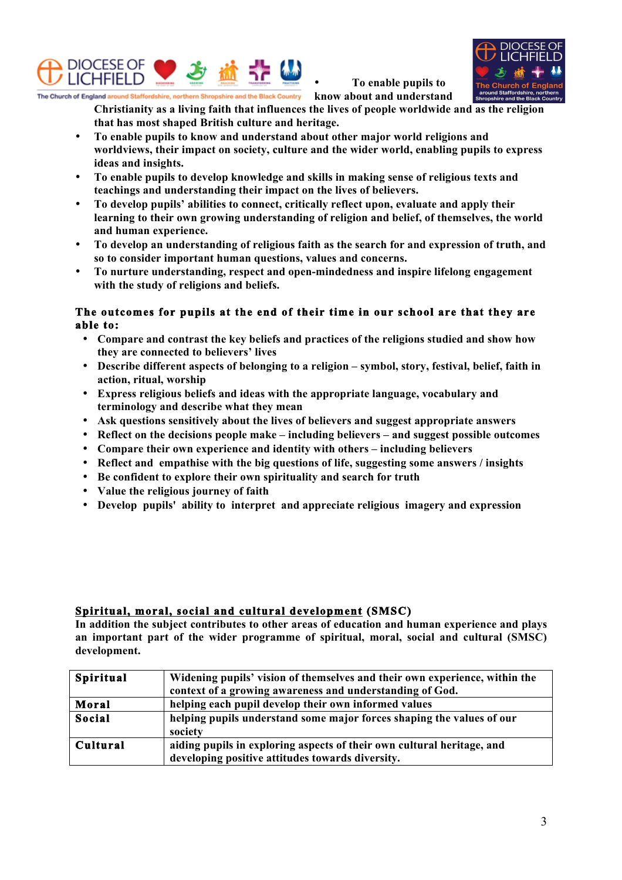

• **To enable pupils to** 



The Church of England around Staffordshire, northern Shropshire and the Black Country **know about and understand** 

**Christianity as a living faith that influences the lives of people worldwide and as the religion that has most shaped British culture and heritage.**

- **To enable pupils to know and understand about other major world religions and worldviews, their impact on society, culture and the wider world, enabling pupils to express ideas and insights.**
- **To enable pupils to develop knowledge and skills in making sense of religious texts and teachings and understanding their impact on the lives of believers.**
- **To develop pupils' abilities to connect, critically reflect upon, evaluate and apply their learning to their own growing understanding of religion and belief, of themselves, the world and human experience.**
- **To develop an understanding of religious faith as the search for and expression of truth, and so to consider important human questions, values and concerns.**
- **To nurture understanding, respect and open-mindedness and inspire lifelong engagement with the study of religions and beliefs.**

#### **The outcomes for pupils at the end of their time in our school are that they are able to:**

- **Compare and contrast the key beliefs and practices of the religions studied and show how they are connected to believers' lives**
- **Describe different aspects of belonging to a religion – symbol, story, festival, belief, faith in action, ritual, worship**
- **Express religious beliefs and ideas with the appropriate language, vocabulary and terminology and describe what they mean**
- **Ask questions sensitively about the lives of believers and suggest appropriate answers**
- **Reflect on the decisions people make – including believers – and suggest possible outcomes**
- **Compare their own experience and identity with others – including believers**
- **Reflect and empathise with the big questions of life, suggesting some answers / insights**
- **Be confident to explore their own spirituality and search for truth**
- **Value the religious journey of faith**
- **Develop pupils' ability to interpret and appreciate religious imagery and expression**

#### **Spiritual, moral, social and cultural development (SMSC)**

**In addition the subject contributes to other areas of education and human experience and plays an important part of the wider programme of spiritual, moral, social and cultural (SMSC) development.**

| <b>Spiritual</b> | Widening pupils' vision of themselves and their own experience, within the |
|------------------|----------------------------------------------------------------------------|
|                  | context of a growing awareness and understanding of God.                   |
| Moral            | helping each pupil develop their own informed values                       |
| Social           | helping pupils understand some major forces shaping the values of our      |
|                  | society                                                                    |
| Cultural         | aiding pupils in exploring aspects of their own cultural heritage, and     |
|                  | developing positive attitudes towards diversity.                           |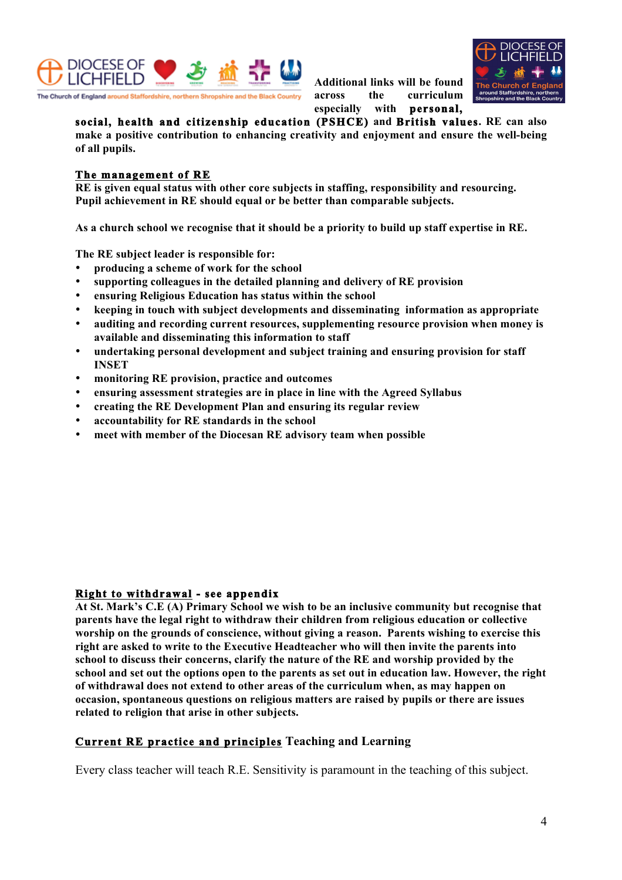

**Additional links will be found across the curriculum especially with personal,** 



**social, health and citizenship education (PSHCE) and British values. RE can also make a positive contribution to enhancing creativity and enjoyment and ensure the well-being of all pupils.**

#### **The management of RE**

**RE is given equal status with other core subjects in staffing, responsibility and resourcing. Pupil achievement in RE should equal or be better than comparable subjects.**

**As a church school we recognise that it should be a priority to build up staff expertise in RE.**

**The RE subject leader is responsible for:**

- **producing a scheme of work for the school**
- **supporting colleagues in the detailed planning and delivery of RE provision**
- **ensuring Religious Education has status within the school**
- **keeping in touch with subject developments and disseminating information as appropriate**
- **auditing and recording current resources, supplementing resource provision when money is available and disseminating this information to staff**
- **undertaking personal development and subject training and ensuring provision for staff INSET**
- **monitoring RE provision, practice and outcomes**
- **ensuring assessment strategies are in place in line with the Agreed Syllabus**
- **creating the RE Development Plan and ensuring its regular review**
- **accountability for RE standards in the school**
- **meet with member of the Diocesan RE advisory team when possible**

#### **Right to withdrawal - see appendix**

**At St. Mark's C.E (A) Primary School we wish to be an inclusive community but recognise that parents have the legal right to withdraw their children from religious education or collective worship on the grounds of conscience, without giving a reason. Parents wishing to exercise this right are asked to write to the Executive Headteacher who will then invite the parents into school to discuss their concerns, clarify the nature of the RE and worship provided by the school and set out the options open to the parents as set out in education law. However, the right of withdrawal does not extend to other areas of the curriculum when, as may happen on occasion, spontaneous questions on religious matters are raised by pupils or there are issues related to religion that arise in other subjects.** 

# **Current RE practice and principles Teaching and Learning**

Every class teacher will teach R.E. Sensitivity is paramount in the teaching of this subject.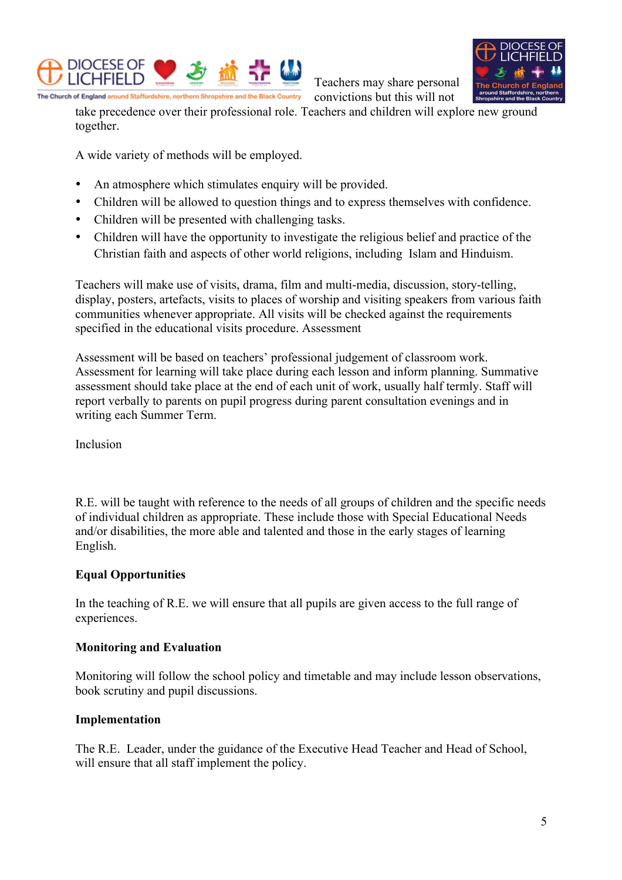

Teachers may share personal convictions but this will not



take precedence over their professional role. Teachers and children will explore new ground together.

A wide variety of methods will be employed.

- An atmosphere which stimulates enquiry will be provided.
- Children will be allowed to question things and to express themselves with confidence.
- Children will be presented with challenging tasks.
- Children will have the opportunity to investigate the religious belief and practice of the Christian faith and aspects of other world religions, including Islam and Hinduism.

Teachers will make use of visits, drama, film and multi-media, discussion, story-telling, display, posters, artefacts, visits to places of worship and visiting speakers from various faith communities whenever appropriate. All visits will be checked against the requirements specified in the educational visits procedure. Assessment

Assessment will be based on teachers' professional judgement of classroom work. Assessment for learning will take place during each lesson and inform planning. Summative assessment should take place at the end of each unit of work, usually half termly. Staff will report verbally to parents on pupil progress during parent consultation evenings and in writing each Summer Term.

Inclusion

R.E. will be taught with reference to the needs of all groups of children and the specific needs of individual children as appropriate. These include those with Special Educational Needs and/or disabilities, the more able and talented and those in the early stages of learning English.

# **Equal Opportunities**

In the teaching of R.E. we will ensure that all pupils are given access to the full range of experiences.

# **Monitoring and Evaluation**

Monitoring will follow the school policy and timetable and may include lesson observations, book scrutiny and pupil discussions.

# **Implementation**

The R.E. Leader, under the guidance of the Executive Head Teacher and Head of School, will ensure that all staff implement the policy.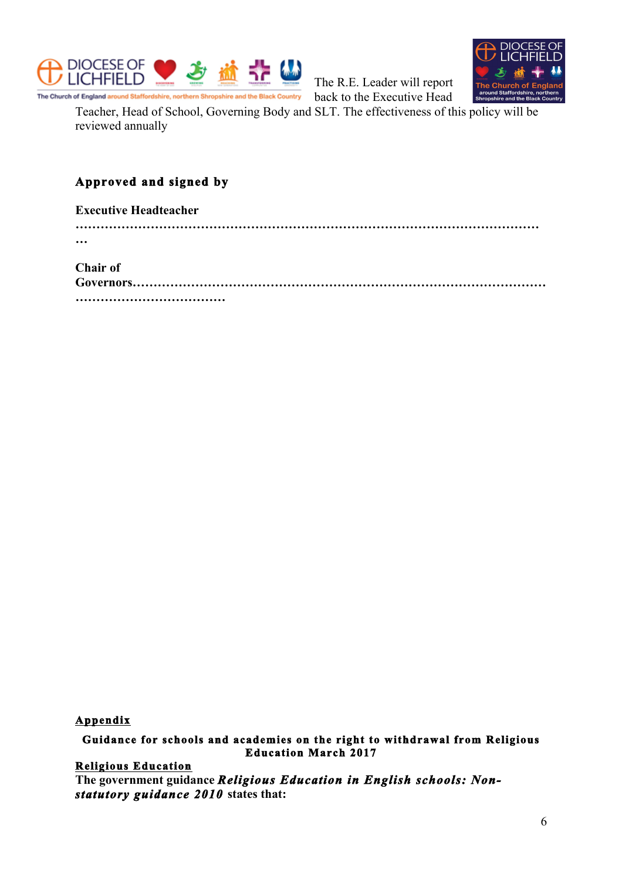



The R.E. Leader will report back to the Executive Head

Teacher, Head of School, Governing Body and SLT. The effectiveness of this policy will be reviewed annually

# **Approved and signed by**

| <b>Executive Headteacher</b> |  |
|------------------------------|--|
|                              |  |
| $\cdots$                     |  |
|                              |  |
| Chair of                     |  |
|                              |  |
|                              |  |

**………………………………**

#### **Appendix**

**Guidance for schools and academies on the right to withdrawal from Religious Education March 2017** 

# **Religious Education**

**The government guidance** *Religious Education in English schools: Nonstatutory guidance 2010* **states that:**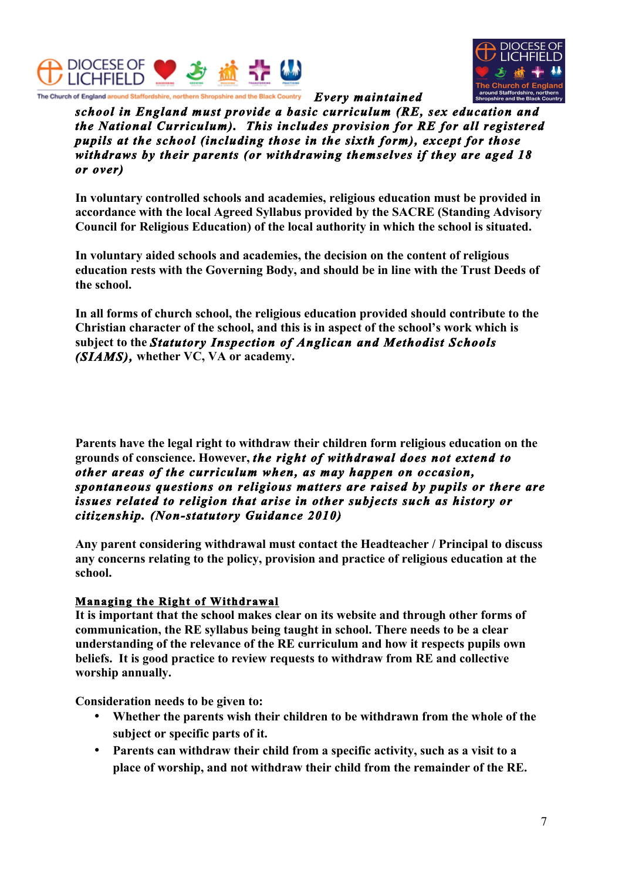



*Every maintained school in England must provide a basic curriculum (RE, sex education and the National Curriculum). This includes provision for RE for all registered pupils at the school (including those in the sixth form), except for those withdraws by their parents (or withdrawing themselves if they are aged 18 or over)* 

**In voluntary controlled schools and academies, religious education must be provided in accordance with the local Agreed Syllabus provided by the SACRE (Standing Advisory Council for Religious Education) of the local authority in which the school is situated.** 

**In voluntary aided schools and academies, the decision on the content of religious education rests with the Governing Body, and should be in line with the Trust Deeds of the school.**

**In all forms of church school, the religious education provided should contribute to the Christian character of the school, and this is in aspect of the school's work which is subject to the** *Statutory Inspection of Anglican and Methodist Schools (SIAMS),* **whether VC, VA or academy.** 

**Parents have the legal right to withdraw their children form religious education on the grounds of conscience. However,** *the right of withdrawal does not extend to other areas of the curriculum when, as may happen on occasion, spontaneous questions on religious matters are raised by pupils or there are issues related to religion that arise in other subjects such as history or citizenship. (Non-statutory Guidance 2010)* 

**Any parent considering withdrawal must contact the Headteacher / Principal to discuss any concerns relating to the policy, provision and practice of religious education at the school.**

# **Managing the Right of Withdrawal**

**It is important that the school makes clear on its website and through other forms of communication, the RE syllabus being taught in school. There needs to be a clear understanding of the relevance of the RE curriculum and how it respects pupils own beliefs. It is good practice to review requests to withdraw from RE and collective worship annually.**

**Consideration needs to be given to:**

- **Whether the parents wish their children to be withdrawn from the whole of the subject or specific parts of it.**
- **Parents can withdraw their child from a specific activity, such as a visit to a place of worship, and not withdraw their child from the remainder of the RE.**